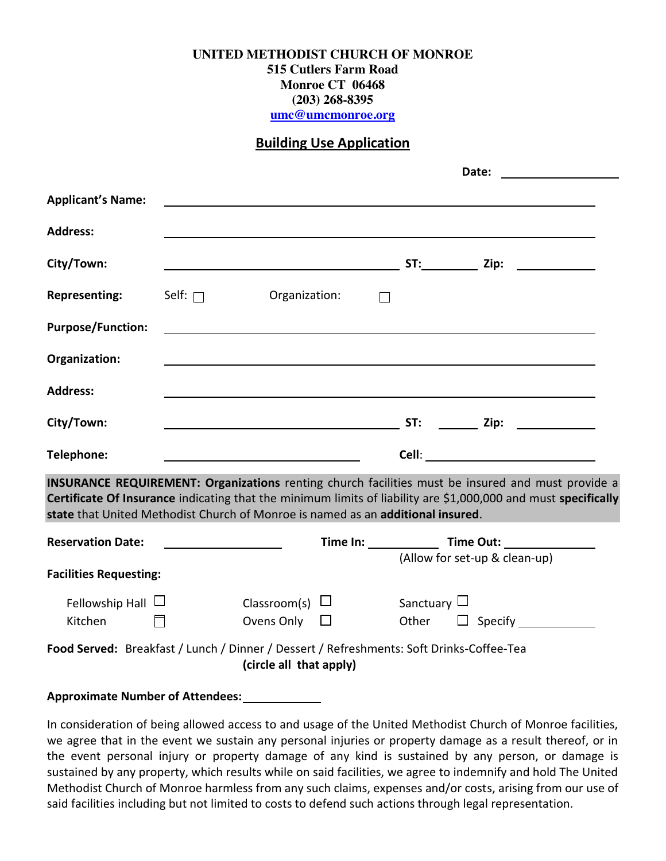## **UNITED METHODIST CHURCH OF MONROE**

**515 Cutlers Farm Road Monroe CT 06468 (203) 268-8395**

**[umc@umcmonroe.org](mailto:umc@umcmonroe.org)**

## **Building Use Application**

|                                                                                                                                                                                                                                                                                                               |                                         | Date:                                       |                                                               |                  |                               |  |  |
|---------------------------------------------------------------------------------------------------------------------------------------------------------------------------------------------------------------------------------------------------------------------------------------------------------------|-----------------------------------------|---------------------------------------------|---------------------------------------------------------------|------------------|-------------------------------|--|--|
| <b>Applicant's Name:</b>                                                                                                                                                                                                                                                                                      |                                         |                                             |                                                               |                  |                               |  |  |
| <b>Address:</b>                                                                                                                                                                                                                                                                                               |                                         |                                             |                                                               |                  |                               |  |  |
| City/Town:                                                                                                                                                                                                                                                                                                    |                                         |                                             |                                                               |                  |                               |  |  |
| <b>Representing:</b>                                                                                                                                                                                                                                                                                          | Self: $\Box$                            | Organization:                               | $\Box$                                                        |                  |                               |  |  |
| <b>Purpose/Function:</b>                                                                                                                                                                                                                                                                                      |                                         |                                             | <u> 1989 - Johann Stein, mars an deutscher Stein († 1989)</u> |                  |                               |  |  |
| Organization:                                                                                                                                                                                                                                                                                                 |                                         |                                             |                                                               |                  |                               |  |  |
| <b>Address:</b>                                                                                                                                                                                                                                                                                               |                                         |                                             |                                                               |                  |                               |  |  |
| City/Town:                                                                                                                                                                                                                                                                                                    |                                         |                                             |                                                               |                  |                               |  |  |
| Telephone:                                                                                                                                                                                                                                                                                                    |                                         |                                             |                                                               |                  |                               |  |  |
| <b>INSURANCE REQUIREMENT: Organizations</b> renting church facilities must be insured and must provide a<br>Certificate Of Insurance indicating that the minimum limits of liability are \$1,000,000 and must specifically<br>state that United Methodist Church of Monroe is named as an additional insured. |                                         |                                             |                                                               |                  |                               |  |  |
| <b>Reservation Date:</b>                                                                                                                                                                                                                                                                                      | <u> 1989 - Johann Barbara, martin a</u> |                                             |                                                               |                  | (Allow for set-up & clean-up) |  |  |
| <b>Facilities Requesting:</b>                                                                                                                                                                                                                                                                                 |                                         |                                             |                                                               |                  |                               |  |  |
| Fellowship Hall $\Box$<br>Kitchen<br>$\Box$                                                                                                                                                                                                                                                                   |                                         | Classroom(s) $\Box$<br>Ovens Only $\square$ |                                                               | Sanctuary $\Box$ | Other $\Box$ Specify          |  |  |
| Food Served: Breakfast / Lunch / Dinner / Dessert / Refreshments: Soft Drinks-Coffee-Tea<br>(circle all that apply)                                                                                                                                                                                           |                                         |                                             |                                                               |                  |                               |  |  |

## **Approximate Number of Attendees:**

In consideration of being allowed access to and usage of the United Methodist Church of Monroe facilities, we agree that in the event we sustain any personal injuries or property damage as a result thereof, or in the event personal injury or property damage of any kind is sustained by any person, or damage is sustained by any property, which results while on said facilities, we agree to indemnify and hold The United Methodist Church of Monroe harmless from any such claims, expenses and/or costs, arising from our use of said facilities including but not limited to costs to defend such actions through legal representation.